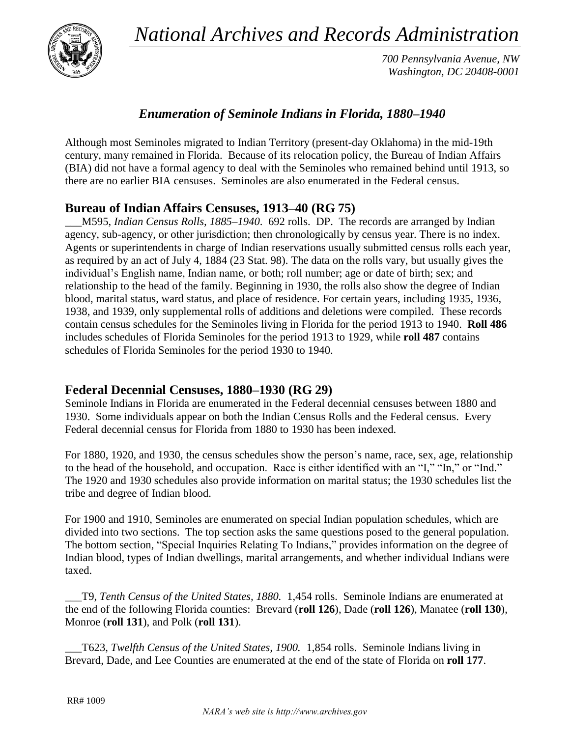*National Archives and Records Administration*



*700 Pennsylvania Avenue, NW Washington, DC 20408-0001*

## *Enumeration of Seminole Indians in Florida, 1880–1940*

Although most Seminoles migrated to Indian Territory (present-day Oklahoma) in the mid-19th century, many remained in Florida. Because of its relocation policy, the Bureau of Indian Affairs (BIA) did not have a formal agency to deal with the Seminoles who remained behind until 1913, so there are no earlier BIA censuses. Seminoles are also enumerated in the Federal census.

## **Bureau of Indian Affairs Censuses, 1913–40 (RG 75)**

\_\_\_M595, *Indian Census Rolls, 1885–1940*. 692 rolls. DP. The records are arranged by Indian agency, sub-agency, or other jurisdiction; then chronologically by census year. There is no index. Agents or superintendents in charge of Indian reservations usually submitted census rolls each year, as required by an act of July 4, 1884 (23 Stat. 98). The data on the rolls vary, but usually gives the individual's English name, Indian name, or both; roll number; age or date of birth; sex; and relationship to the head of the family. Beginning in 1930, the rolls also show the degree of Indian blood, marital status, ward status, and place of residence. For certain years, including 1935, 1936, 1938, and 1939, only supplemental rolls of additions and deletions were compiled. These records contain census schedules for the Seminoles living in Florida for the period 1913 to 1940. **Roll 486** includes schedules of Florida Seminoles for the period 1913 to 1929, while **roll 487** contains schedules of Florida Seminoles for the period 1930 to 1940.

## **Federal Decennial Censuses, 1880–1930 (RG 29)**

Seminole Indians in Florida are enumerated in the Federal decennial censuses between 1880 and 1930. Some individuals appear on both the Indian Census Rolls and the Federal census. Every Federal decennial census for Florida from 1880 to 1930 has been indexed.

For 1880, 1920, and 1930, the census schedules show the person's name, race, sex, age, relationship to the head of the household, and occupation. Race is either identified with an "I," "In," or "Ind." The 1920 and 1930 schedules also provide information on marital status; the 1930 schedules list the tribe and degree of Indian blood.

For 1900 and 1910, Seminoles are enumerated on special Indian population schedules, which are divided into two sections. The top section asks the same questions posed to the general population. The bottom section, "Special Inquiries Relating To Indians," provides information on the degree of Indian blood, types of Indian dwellings, marital arrangements, and whether individual Indians were taxed.

*\_\_\_*T9, *Tenth Census of the United States, 1880.* 1,454 rolls. Seminole Indians are enumerated at the end of the following Florida counties: Brevard (**roll 126**), Dade (**roll 126**), Manatee (**roll 130**), Monroe (**roll 131**), and Polk (**roll 131**).

*\_\_\_*T623, *Twelfth Census of the United States, 1900.* 1,854 rolls. Seminole Indians living in Brevard, Dade, and Lee Counties are enumerated at the end of the state of Florida on **roll 177**.